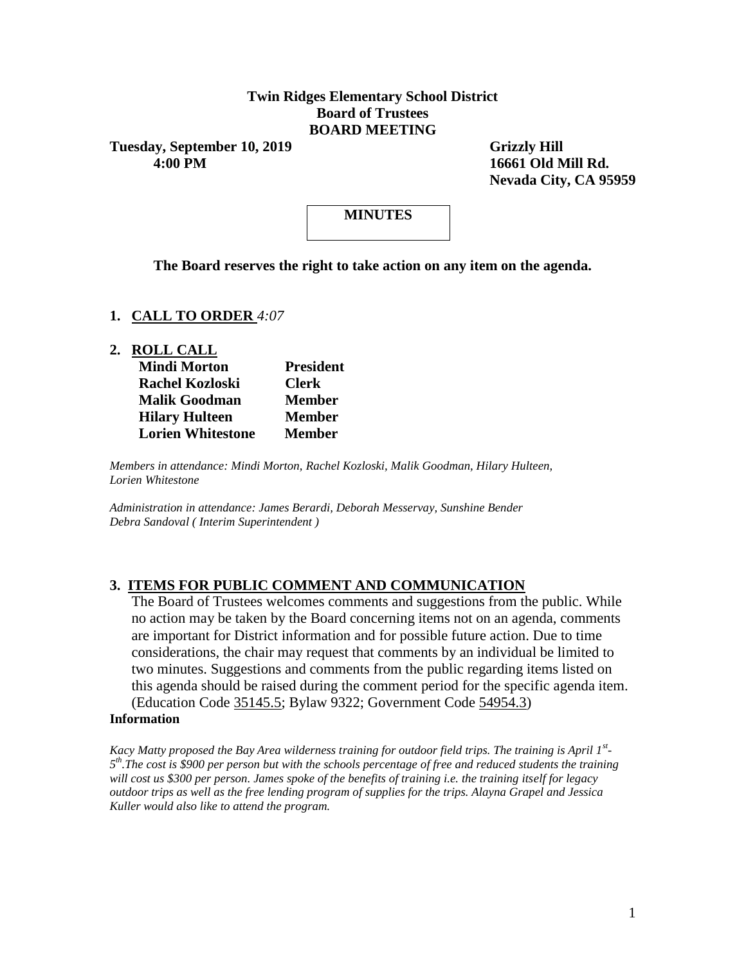#### **Twin Ridges Elementary School District Board of Trustees BOARD MEETING**

Tuesday, September 10, 2019 Grizzly Hill  **4:00 PM 16661 Old Mill Rd.**

 **Nevada City, CA 95959**

# **MINUTES**

**The Board reserves the right to take action on any item on the agenda.**

#### **1. CALL TO ORDER** *4:07*

#### **2. ROLL CALL**

| <b>Mindi Morton</b>      | <b>President</b> |  |  |  |
|--------------------------|------------------|--|--|--|
| <b>Rachel Kozloski</b>   | <b>Clerk</b>     |  |  |  |
| <b>Malik Goodman</b>     | <b>Member</b>    |  |  |  |
| <b>Hilary Hulteen</b>    | <b>Member</b>    |  |  |  |
| <b>Lorien Whitestone</b> | <b>Member</b>    |  |  |  |

*Members in attendance: Mindi Morton, Rachel Kozloski, Malik Goodman, Hilary Hulteen, Lorien Whitestone*

*Administration in attendance: James Berardi, Deborah Messervay, Sunshine Bender Debra Sandoval ( Interim Superintendent )* 

## **3. ITEMS FOR PUBLIC COMMENT AND COMMUNICATION**

The Board of Trustees welcomes comments and suggestions from the public. While no action may be taken by the Board concerning items not on an agenda, comments are important for District information and for possible future action. Due to time considerations, the chair may request that comments by an individual be limited to two minutes. Suggestions and comments from the public regarding items listed on this agenda should be raised during the comment period for the specific agenda item. (Education Code 35145.5; Bylaw 9322; Government Code 54954.3)

#### **Information**

*Kacy Matty proposed the Bay Area wilderness training for outdoor field trips. The training is April 1st - 5 th.The cost is \$900 per person but with the schools percentage of free and reduced students the training will cost us \$300 per person. James spoke of the benefits of training i.e. the training itself for legacy outdoor trips as well as the free lending program of supplies for the trips. Alayna Grapel and Jessica Kuller would also like to attend the program.*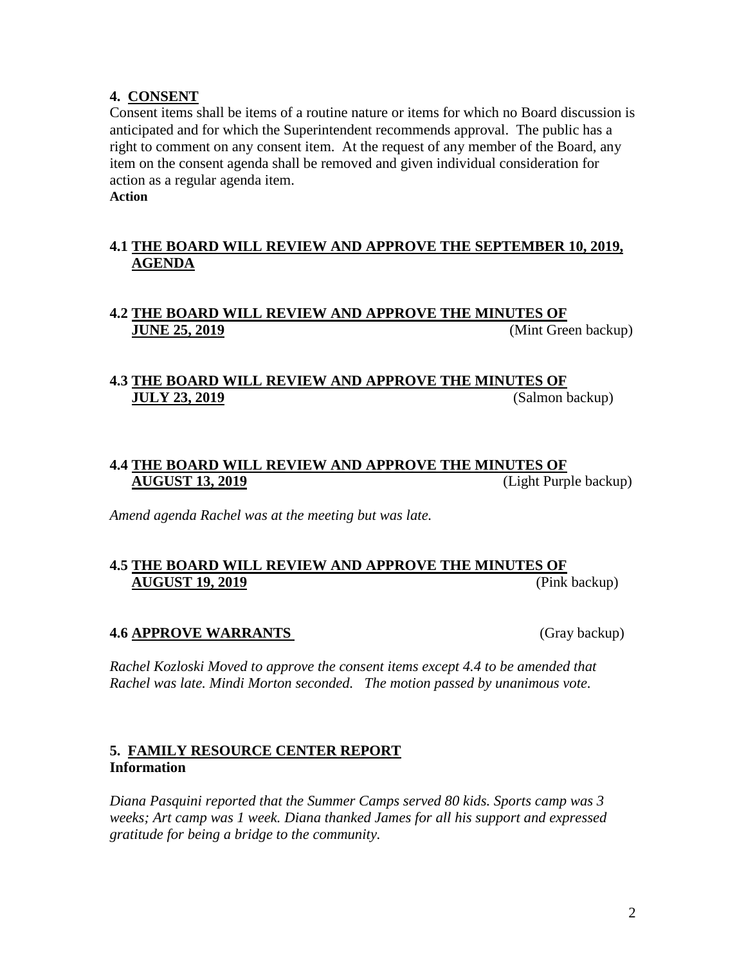#### **4. CONSENT**

Consent items shall be items of a routine nature or items for which no Board discussion is anticipated and for which the Superintendent recommends approval. The public has a right to comment on any consent item. At the request of any member of the Board, any item on the consent agenda shall be removed and given individual consideration for action as a regular agenda item.

**Action**

#### **4.1 THE BOARD WILL REVIEW AND APPROVE THE SEPTEMBER 10, 2019, AGENDA**

## **4.2 THE BOARD WILL REVIEW AND APPROVE THE MINUTES OF JUNE 25, 2019** *(Mint Green backup)*

# **4.3 THE BOARD WILL REVIEW AND APPROVE THE MINUTES OF JULY 23, 2019** (Salmon backup)

## **4.4 THE BOARD WILL REVIEW AND APPROVE THE MINUTES OF AUGUST 13, 2019** (Light Purple backup)

*Amend agenda Rachel was at the meeting but was late.*

## **4.5 THE BOARD WILL REVIEW AND APPROVE THE MINUTES OF AUGUST 19, 2019** (Pink backup)

#### **4.6 APPROVE WARRANTS** (Gray backup)

*Rachel Kozloski Moved to approve the consent items except 4.4 to be amended that Rachel was late. Mindi Morton seconded. The motion passed by unanimous vote.* 

#### **5. FAMILY RESOURCE CENTER REPORT Information**

*Diana Pasquini reported that the Summer Camps served 80 kids. Sports camp was 3 weeks; Art camp was 1 week. Diana thanked James for all his support and expressed gratitude for being a bridge to the community.*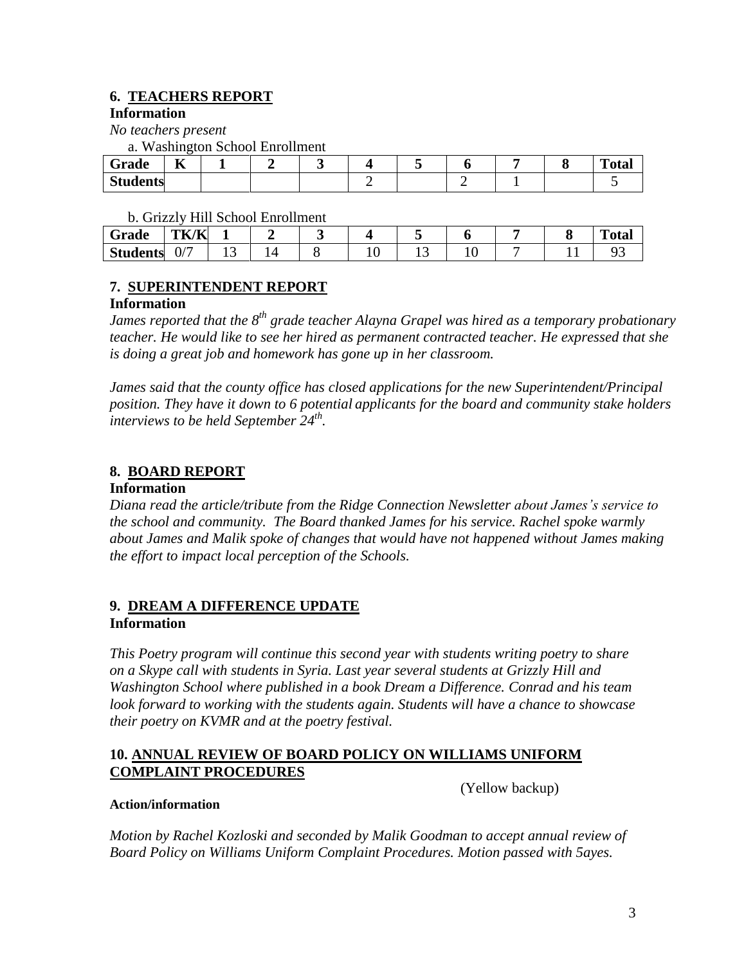# **6. TEACHERS REPORT**

#### **Information**

*No teachers present* 

a. Washington School Enrollment

| $\sim$<br>$\sim$<br>Grade       | $-$<br>m<br>- |  |  |  |  | $\mathbf{m}$<br>`otal |
|---------------------------------|---------------|--|--|--|--|-----------------------|
| $\Omega_{4}$<br><b>Students</b> |               |  |  |  |  |                       |

b. Grizzly Hill School Enrollment

| Grade           | TK/K            |     |  |   |  | $\mathbf{m}$ .<br>''otal |
|-----------------|-----------------|-----|--|---|--|--------------------------|
| <b>Students</b> | $\sqrt{2}$<br>◡ | 1 J |  | ∸ |  |                          |

## **7. SUPERINTENDENT REPORT**

## **Information**

*James reported that the 8th grade teacher Alayna Grapel was hired as a temporary probationary teacher. He would like to see her hired as permanent contracted teacher. He expressed that she is doing a great job and homework has gone up in her classroom.* 

*James said that the county office has closed applications for the new Superintendent/Principal position. They have it down to 6 potential applicants for the board and community stake holders interviews to be held September 24th .* 

# **8. BOARD REPORT**

## **Information**

*Diana read the article/tribute from the Ridge Connection Newsletter about James's service to the school and community. The Board thanked James for his service. Rachel spoke warmly about James and Malik spoke of changes that would have not happened without James making the effort to impact local perception of the Schools.* 

## **9. DREAM A DIFFERENCE UPDATE Information**

*This Poetry program will continue this second year with students writing poetry to share on a Skype call with students in Syria. Last year several students at Grizzly Hill and Washington School where published in a book Dream a Difference. Conrad and his team look forward to working with the students again. Students will have a chance to showcase their poetry on KVMR and at the poetry festival.*

## **10. ANNUAL REVIEW OF BOARD POLICY ON WILLIAMS UNIFORM COMPLAINT PROCEDURES**

(Yellow backup)

## **Action/information**

*Motion by Rachel Kozloski and seconded by Malik Goodman to accept annual review of Board Policy on Williams Uniform Complaint Procedures. Motion passed with 5ayes.*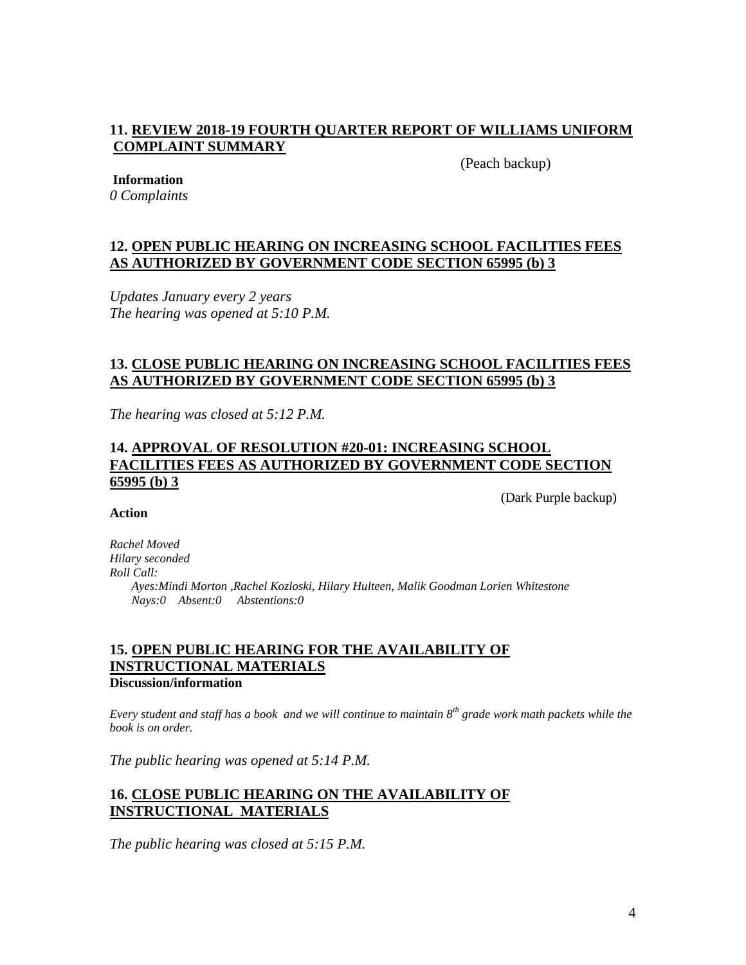#### **11. REVIEW 2018-19 FOURTH QUARTER REPORT OF WILLIAMS UNIFORM COMPLAINT SUMMARY**

(Peach backup)

#### **Information**

*0 Complaints*

#### **12. OPEN PUBLIC HEARING ON INCREASING SCHOOL FACILITIES FEES AS AUTHORIZED BY GOVERNMENT CODE SECTION 65995 (b) 3**

*Updates January every 2 years The hearing was opened at 5:10 P.M.*

#### **13. CLOSE PUBLIC HEARING ON INCREASING SCHOOL FACILITIES FEES AS AUTHORIZED BY GOVERNMENT CODE SECTION 65995 (b) 3**

*The hearing was closed at 5:12 P.M.*

#### **14. APPROVAL OF RESOLUTION #20-01: INCREASING SCHOOL FACILITIES FEES AS AUTHORIZED BY GOVERNMENT CODE SECTION 65995 (b) 3**

(Dark Purple backup)

#### **Action**

*Rachel Moved Hilary seconded Roll Call: Ayes:Mindi Morton ,Rachel Kozloski, Hilary Hulteen, Malik Goodman Lorien Whitestone Nays:0 Absent:0 Abstentions:0*

#### **15. OPEN PUBLIC HEARING FOR THE AVAILABILITY OF INSTRUCTIONAL MATERIALS Discussion/information**

*Every student and staff has a book and we will continue to maintain 8th grade work math packets while the book is on order.* 

*The public hearing was opened at 5:14 P.M.*

## **16. CLOSE PUBLIC HEARING ON THE AVAILABILITY OF INSTRUCTIONAL MATERIALS**

*The public hearing was closed at 5:15 P.M.*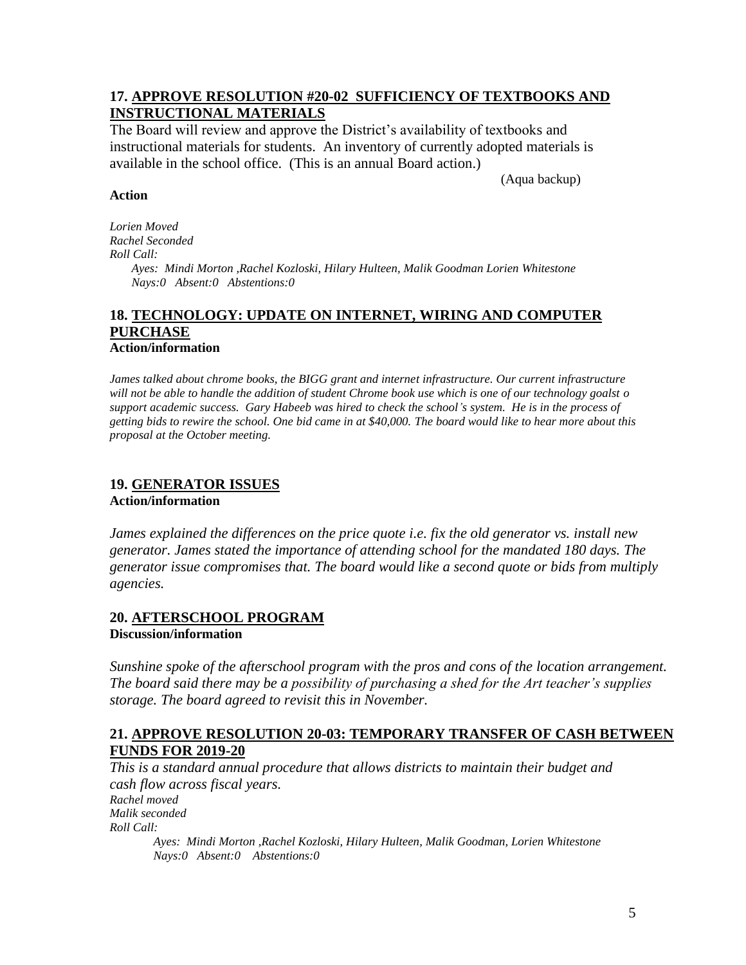#### **17. APPROVE RESOLUTION #20-02 SUFFICIENCY OF TEXTBOOKS AND INSTRUCTIONAL MATERIALS**

The Board will review and approve the District's availability of textbooks and instructional materials for students. An inventory of currently adopted materials is available in the school office. (This is an annual Board action.)

(Aqua backup)

#### **Action**

*Lorien Moved Rachel Seconded Roll Call: Ayes: Mindi Morton ,Rachel Kozloski, Hilary Hulteen, Malik Goodman Lorien Whitestone Nays:0 Absent:0 Abstentions:0*

#### **18. TECHNOLOGY: UPDATE ON INTERNET, WIRING AND COMPUTER PURCHASE Action/information**

*James talked about chrome books, the BIGG grant and internet infrastructure. Our current infrastructure will not be able to handle the addition of student Chrome book use which is one of our technology goalst o support academic success. Gary Habeeb was hired to check the school's system. He is in the process of getting bids to rewire the school. One bid came in at \$40,000. The board would like to hear more about this proposal at the October meeting.* 

# **19. GENERATOR ISSUES**

**Action/information**

*James explained the differences on the price quote i.e. fix the old generator vs. install new generator. James stated the importance of attending school for the mandated 180 days. The generator issue compromises that. The board would like a second quote or bids from multiply agencies.* 

# **20. AFTERSCHOOL PROGRAM**

**Discussion/information**

*Sunshine spoke of the afterschool program with the pros and cons of the location arrangement. The board said there may be a possibility of purchasing a shed for the Art teacher's supplies storage. The board agreed to revisit this in November.*

## **21. APPROVE RESOLUTION 20-03: TEMPORARY TRANSFER OF CASH BETWEEN FUNDS FOR 2019-20**

*This is a standard annual procedure that allows districts to maintain their budget and cash flow across fiscal years. Rachel moved Malik seconded Roll Call: Ayes: Mindi Morton ,Rachel Kozloski, Hilary Hulteen, Malik Goodman, Lorien Whitestone Nays:0 Absent:0 Abstentions:0*